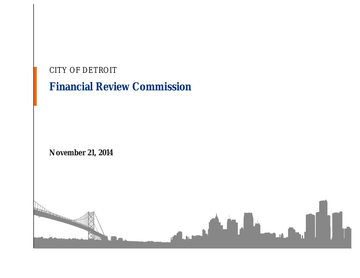| CITY OF DETROIT<br><b>Financial Review Commission</b> |
|-------------------------------------------------------|
| November 21, 2014                                     |
| <b>Oromont</b>                                        |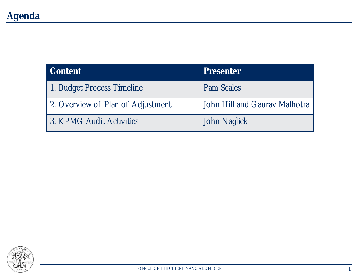| Content                           | <b>Presenter</b>              |
|-----------------------------------|-------------------------------|
| 1. Budget Process Timeline        | Pam Scales                    |
| 2. Overview of Plan of Adjustment | John Hill and Gaurav Malhotra |
| 3. KPMG Audit Activities          | John Naglick                  |

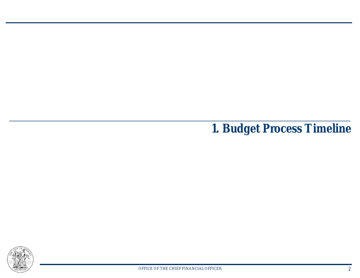**1. Budget Process Timeline**

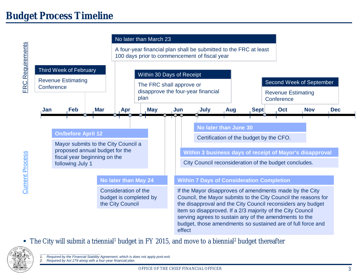

■ The City will submit a triennial<sup>1</sup> budget in FY 2015, and move to a biennial<sup>2</sup> budget thereafter



*\_\_\_\_\_\_\_\_\_\_\_\_\_\_\_\_\_\_\_\_\_\_\_\_\_\_\_ 1. Required by the Financial Stability Agreement, which is does not apply post-exit.*

*2. Required by Act 279 along with a four-year financial plan.*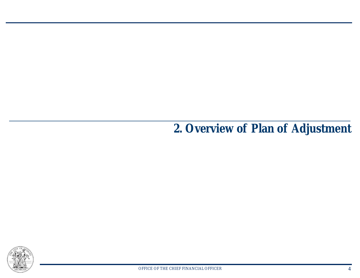**2. Overview of Plan of Adjustment**

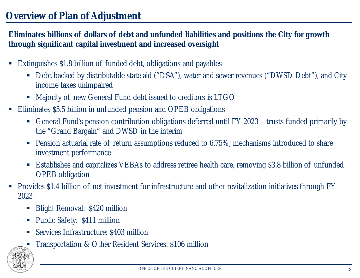**Eliminates billions of dollars of debt and unfunded liabilities and positions the City for growth through significant capital investment and increased oversight**

- § Extinguishes \$1.8 billion of funded debt, obligations and payables
	- Debt backed by distributable state aid ("DSA"), water and sewer revenues ("DWSD Debt"), and City income taxes unimpaired
	- § Majority of new General Fund debt issued to creditors is LTGO
- § Eliminates \$5.5 billion in unfunded pension and OPEB obligations
	- § General Fund's pension contribution obligations deferred until FY 2023 trusts funded primarily by the "Grand Bargain" and DWSD in the interim
	- Pension actuarial rate of return assumptions reduced to 6.75%; mechanisms introduced to share investment performance
	- Establishes and capitalizes VEBAs to address retiree health care, removing \$3.8 billion of unfunded OPEB obligation
- § Provides \$1.4 billion of net investment for infrastructure and other revitalization initiatives through FY 2023
	- § Blight Removal: \$420 million
	- Public Safety: \$411 million
	- § Services Infrastructure: \$403 million
	- § Transportation & Other Resident Services: \$106 million

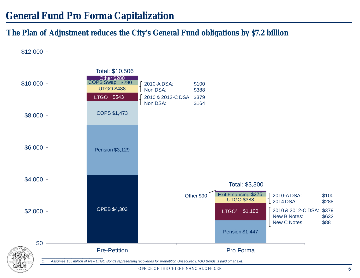**The Plan of Adjustment reduces the City's General Fund obligations by \$7.2 billion**

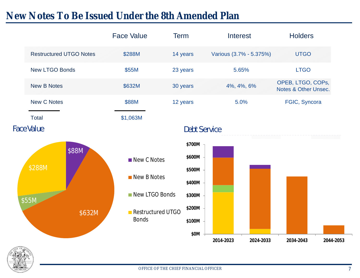## **New Notes To Be Issued Under the 8th Amended Plan**

|                                    | <b>Face Value</b>                                                                 | <b>Term</b>                                                                | Interest                | <b>Holders</b>                            |
|------------------------------------|-----------------------------------------------------------------------------------|----------------------------------------------------------------------------|-------------------------|-------------------------------------------|
| <b>Restructured UTGO Notes</b>     | \$288M                                                                            | 14 years                                                                   | Various (3.7% - 5.375%) | <b>UTGO</b>                               |
| <b>New LTGO Bonds</b>              | \$55M                                                                             | 23 years                                                                   | 5.65%                   | <b>LTGO</b>                               |
| <b>New B Notes</b>                 | \$632M                                                                            | 30 years                                                                   | 4%, 4%, 6%              | OPEB, LTGO, COPs,<br>Notes & Other Unsec. |
| <b>New C Notes</b>                 | \$88M                                                                             | 12 years                                                                   | 5.0%                    | FGIC, Syncora                             |
| <b>Total</b>                       | \$1,063M                                                                          |                                                                            |                         |                                           |
| <b>Face Value</b>                  |                                                                                   | <b>Debt Service</b>                                                        |                         |                                           |
| \$88M<br>\$288M<br>\$55M<br>\$632M | New C Notes<br>New B Notes<br>New LTGO Bonds<br>Restructured UTGO<br><b>Bonds</b> | \$700M<br>\$600M<br>\$500M<br>\$400M<br>\$300M<br>\$200M<br>\$100M<br>\$0M |                         |                                           |
|                                    |                                                                                   |                                                                            | 2024-2033<br>2014-2023  | 2044-2053<br>2034-2043                    |

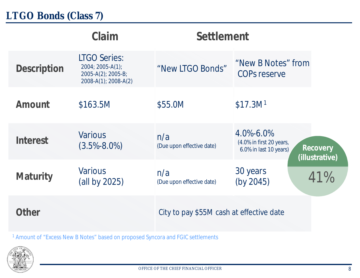|             | Claim                                                                                 | Settlement                               |                                                                       |                            |
|-------------|---------------------------------------------------------------------------------------|------------------------------------------|-----------------------------------------------------------------------|----------------------------|
| Description | <b>LTGO Series:</b><br>2004; 2005-A(1);<br>2005-A(2); 2005-B;<br>2008-A(1); 2008-A(2) | "New LTGO Bonds"                         | "New B Notes" from<br><b>COPs reserve</b>                             |                            |
| Amount      | \$163.5M                                                                              | \$55.0M                                  | \$17.3M <sup>1</sup>                                                  |                            |
| Interest    | <b>Various</b><br>$(3.5\% - 8.0\%)$                                                   | n/a<br>(Due upon effective date)         | $4.0\% - 6.0\%$<br>(4.0% in first 20 years,<br>6.0% in last 10 years) | Recovery<br>(illustrative) |
| Maturity    | <b>Various</b><br>(all by 2025)                                                       | n/a<br>(Due upon effective date)         | 30 years<br>(by 2045)                                                 | 41%                        |
| Other       |                                                                                       | City to pay \$55M cash at effective date |                                                                       |                            |

<sup>1</sup> Amount of "Excess New B Notes" based on proposed Syncora and FGIC settlements

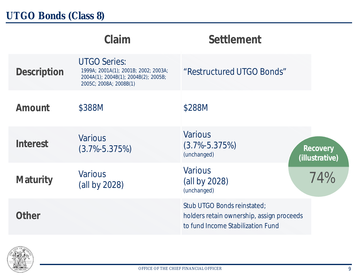|             | Claim                                                                                                                         | Settlement                                                                                                    |                            |
|-------------|-------------------------------------------------------------------------------------------------------------------------------|---------------------------------------------------------------------------------------------------------------|----------------------------|
| Description | <b>UTGO Series:</b><br>1999A; 2001A(1); 2001B; 2002; 2003A;<br>2004A(1); 2004B(1); 2004B(2); 2005B;<br>2005C; 2008A; 2008B(1) | "Restructured UTGO Bonds"                                                                                     |                            |
| Amount      | \$388M                                                                                                                        | \$288M                                                                                                        |                            |
| Interest    | <b>Various</b><br>$(3.7\% - 5.375\%)$                                                                                         | <b>Various</b><br>$(3.7\% - 5.375\%)$<br>(unchanged)                                                          | Recovery<br>(illustrative) |
| Maturity    | <b>Various</b><br>(all by 2028)                                                                                               | <b>Various</b><br>(all by 2028)<br>(unchanged)                                                                | 74%                        |
| Other       |                                                                                                                               | Stub UTGO Bonds reinstated;<br>holders retain ownership, assign proceeds<br>to fund Income Stabilization Fund |                            |

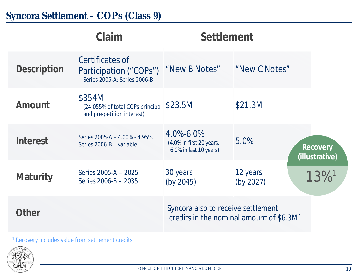## **Syncora Settlement – COPs (Class 9)**

|             | Claim                                                                     | Settlement                                                                                 |                       |                            |
|-------------|---------------------------------------------------------------------------|--------------------------------------------------------------------------------------------|-----------------------|----------------------------|
| Description | Certificates of<br>Participation ("COPs")<br>Series 2005-A; Series 2006-B | "New B Notes"                                                                              | "New C Notes"         |                            |
| Amount      | \$354M<br>(24.055% of total COPs principal<br>and pre-petition interest)  | \$23.5M                                                                                    | \$21.3M               |                            |
| Interest    | Series 2005-A - 4.00% - 4.95%<br>Series 2006-B - variable                 | $4.0\% - 6.0\%$<br>(4.0% in first 20 years,<br>6.0% in last 10 years)                      | 5.0%                  | Recovery<br>(illustrative) |
| Maturity    | Series 2005-A - 2025<br>Series 2006-B - 2035                              | 30 years<br>(by 2045)                                                                      | 12 years<br>(by 2027) | $13\%$ <sup>1</sup>        |
| Other       |                                                                           | Syncora also to receive settlement<br>credits in the nominal amount of \$6.3M <sup>1</sup> |                       |                            |

<sup>1</sup> Recovery includes value from settlement credits

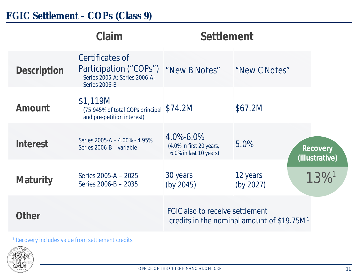## **FGIC Settlement – COPs (Class 9)**

|                    | Claim                                                                                       | Settlement                                                                                |                       |                            |
|--------------------|---------------------------------------------------------------------------------------------|-------------------------------------------------------------------------------------------|-----------------------|----------------------------|
| <b>Description</b> | Certificates of<br>Participation ("COPs")<br>Series 2005-A; Series 2006-A;<br>Series 2006-B | "New B Notes"                                                                             | "New C Notes"         |                            |
| Amount             | \$1,119M<br>(75.945% of total COPs principal<br>and pre-petition interest)                  | \$74.2M                                                                                   | \$67.2M               |                            |
| Interest           | Series 2005-A - 4.00% - 4.95%<br>Series 2006-B - variable                                   | $4.0\% - 6.0\%$<br>(4.0% in first 20 years,<br>6.0% in last 10 years)                     | 5.0%                  | Recovery<br>(illustrative) |
| Maturity           | Series 2005-A - 2025<br>Series 2006-B - 2035                                                | 30 years<br>(by 2045)                                                                     | 12 years<br>(by 2027) | $13\%$ <sup>1</sup>        |
| Other              |                                                                                             | FGIC also to receive settlement<br>credits in the nominal amount of \$19.75M <sup>1</sup> |                       |                            |
|                    |                                                                                             |                                                                                           |                       |                            |

<sup>1</sup> Recovery includes value from settlement credits

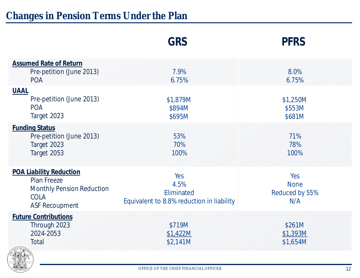|                                                                                                                                  | GRS                                                                    | <b>PFRS</b>                                 |
|----------------------------------------------------------------------------------------------------------------------------------|------------------------------------------------------------------------|---------------------------------------------|
| <b>Assumed Rate of Return</b><br>Pre-petition (June 2013)<br><b>POA</b>                                                          | 7.9%<br>6.75%                                                          | 8.0%<br>6.75%                               |
| <b>UAAL</b><br>Pre-petition (June 2013)<br><b>POA</b><br>Target 2023                                                             | \$1,879M<br>\$894M<br>\$695M                                           | \$1,250M<br>\$553M<br>\$681M                |
| <b>Funding Status</b><br>Pre-petition (June 2013)<br>Target 2023<br>Target 2053                                                  | 53%<br>70%<br>100%                                                     | 71%<br>78%<br>100%                          |
| <b>POA Liability Reduction</b><br><b>Plan Freeze</b><br><b>Monthly Pension Reduction</b><br><b>COLA</b><br><b>ASF Recoupment</b> | Yes<br>4.5%<br>Eliminated<br>Equivalent to 8.8% reduction in liability | Yes<br><b>None</b><br>Reduced by 55%<br>N/A |
| <b>Future Contributions</b><br>Through 2023<br>2024-2053<br>Total<br>$5 - 3$                                                     | \$719M<br>\$1,422M<br>\$2,141M                                         | \$261M<br>\$1,393M<br>\$1,654M              |

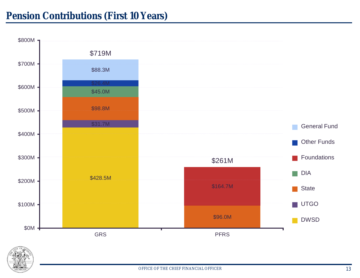

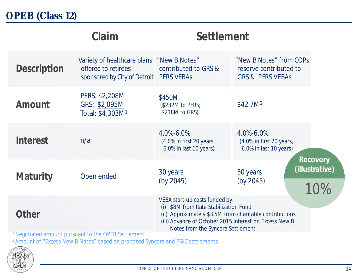|             | Claim                                                                                         | Settlement                                                                                                                                                                                                                        |                                                                                  |                                   |
|-------------|-----------------------------------------------------------------------------------------------|-----------------------------------------------------------------------------------------------------------------------------------------------------------------------------------------------------------------------------------|----------------------------------------------------------------------------------|-----------------------------------|
| Description | Variety of healthcare plans<br>offered to retirees<br>sponsored by City of Detroit PFRS VEBAs | "New B Notes"<br>contributed to GRS &                                                                                                                                                                                             | "New B Notes" from COPs<br>reserve contributed to<br><b>GRS &amp; PFRS VEBAS</b> |                                   |
| Amount      | PFRS: \$2,208M<br>GRS: \$2,095M<br>Total: \$4,303M <sup>1</sup>                               | \$450M<br>(\$232M to PFRS;<br>\$218M to GRS)                                                                                                                                                                                      | \$42.7M <sup>2</sup>                                                             |                                   |
| Interest    | n/a                                                                                           | 4.0%-6.0%<br>(4.0% in first 20 years,<br>6.0% in last 10 years)                                                                                                                                                                   | 4.0%-6.0%<br>(4.0% in first 20 years,<br>6.0% in last 10 years)                  |                                   |
| Maturity    | Open ended                                                                                    | 30 years<br>(by 2045)                                                                                                                                                                                                             | 30 years<br>(by 2045)                                                            | Recovery<br>(illustrative)<br>10% |
| Other       | <sup>1</sup> Negotiated amount pursuant to the OPER Settlement                                | VEBA start-up costs funded by:<br>(i) \$8M from Rate Stabilization Fund<br>(ii) Approximately \$3.5M from charitable contributions<br>(iii) Advance of October 2015 interest on Excess New B<br>Notes from the Syncora Settlement |                                                                                  |                                   |

<sup>1</sup>Negotiated amount pursuant to the OPEB Settlement

<sup>2</sup> Amount of "Excess New B Notes" based on proposed Syncora and FGIC settlements

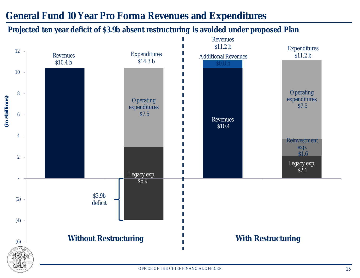### **General Fund 10 Year Pro Forma Revenues and Expenditures**

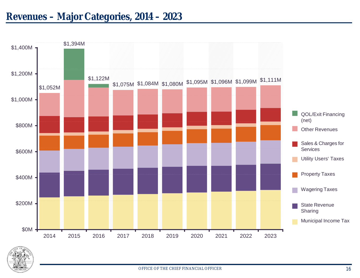

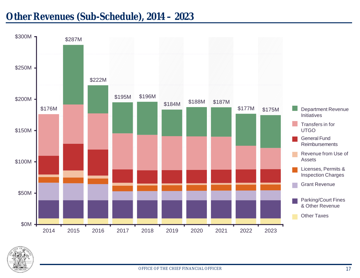#### **Other Revenues (Sub-Schedule), 2014 – 2023**



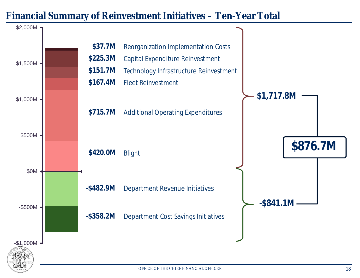#### **Financial Summary of Reinvestment Initiatives – Ten-Year Total**

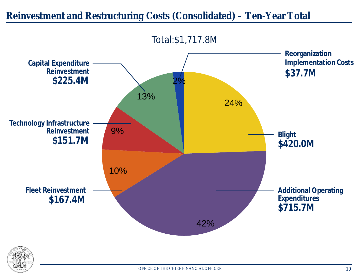

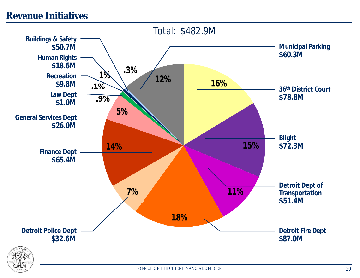#### **Revenue Initiatives**

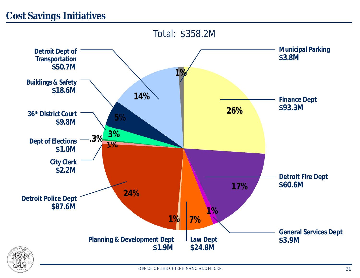### **Cost Savings Initiatives**



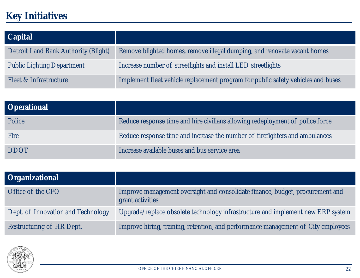# **Key Initiatives**

| Capital                              |                                                                                  |
|--------------------------------------|----------------------------------------------------------------------------------|
| Detroit Land Bank Authority (Blight) | Remove blighted homes, remove illegal dumping, and renovate vacant homes         |
| <b>Public Lighting Department</b>    | Increase number of streetlights and install LED streetlights                     |
| Fleet & Infrastructure               | Implement fleet vehicle replacement program for public safety vehicles and buses |

| Operational |                                                                               |
|-------------|-------------------------------------------------------------------------------|
| Police      | Reduce response time and hire civilians allowing redeployment of police force |
| <b>Fire</b> | Reduce response time and increase the number of firefighters and ambulances   |
| <b>DDOT</b> | Increase available buses and bus service area                                 |

| Organizational                     |                                                                                                   |
|------------------------------------|---------------------------------------------------------------------------------------------------|
| Office of the CFO                  | Improve management oversight and consolidate finance, budget, procurement and<br>grant activities |
| Dept. of Innovation and Technology | Upgrade/replace obsolete technology infrastructure and implement new ERP system                   |
| Restructuring of HR Dept.          | Improve hiring, training, retention, and performance management of City employees                 |

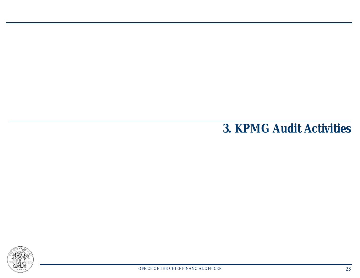**3. KPMG Audit Activities**